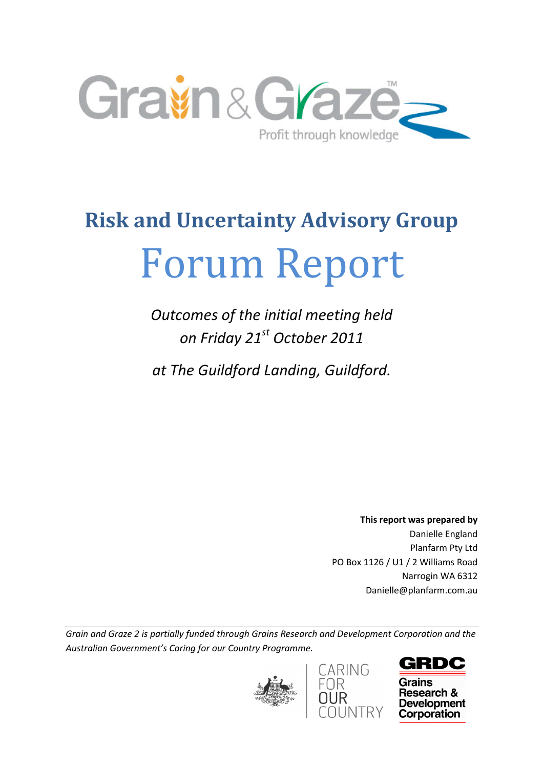

# Risk and Uncertainty Advisory Group Forum Report

Outcomes of the initial meeting held on Friday 21<sup>st</sup> October 2011

at The Guildford Landing, Guildford.

This report was prepared by Danielle England Planfarm Pty Ltd PO Box 1126 / U1 / 2 Williams Road Narrogin WA 6312 Danielle@planfarm.com.au

Grain and Graze 2 is partially funded through Grains Research and Development Corporation and the Australian Government's Caring for our Country Programme.





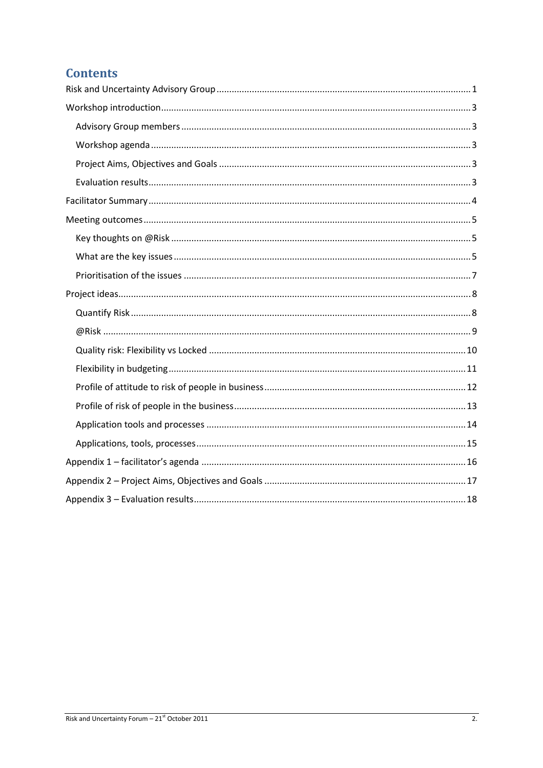## **Contents**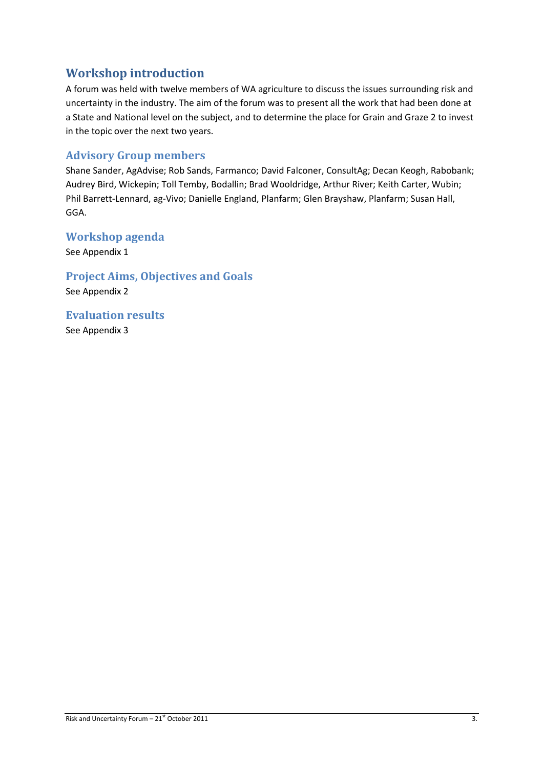## Workshop introduction

A forum was held with twelve members of WA agriculture to discuss the issues surrounding risk and uncertainty in the industry. The aim of the forum was to present all the work that had been done at a State and National level on the subject, and to determine the place for Grain and Graze 2 to invest in the topic over the next two years.

## Advisory Group members

Shane Sander, AgAdvise; Rob Sands, Farmanco; David Falconer, ConsultAg; Decan Keogh, Rabobank; Audrey Bird, Wickepin; Toll Temby, Bodallin; Brad Wooldridge, Arthur River; Keith Carter, Wubin; Phil Barrett-Lennard, ag-Vivo; Danielle England, Planfarm; Glen Brayshaw, Planfarm; Susan Hall, GGA.

## Workshop agenda

See Appendix 1

Project Aims, Objectives and Goals See Appendix 2

Evaluation results See Appendix 3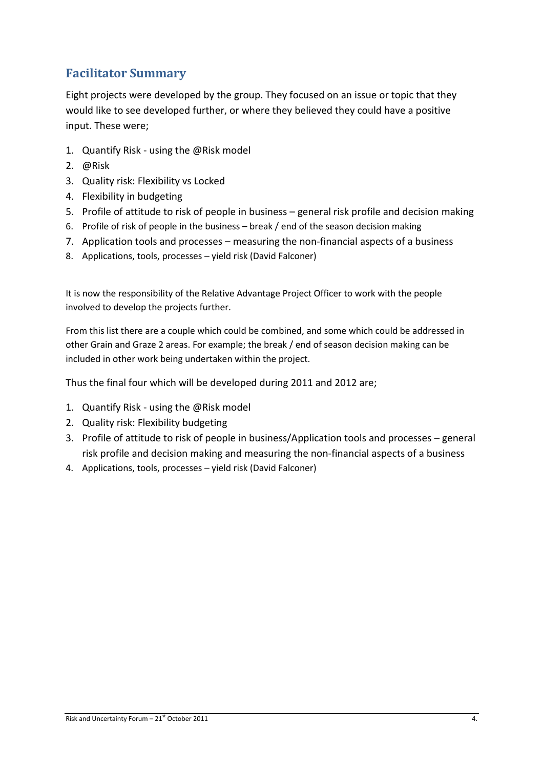# Facilitator Summary

Eight projects were developed by the group. They focused on an issue or topic that they would like to see developed further, or where they believed they could have a positive input. These were;

- 1. Quantify Risk using the @Risk model
- 2. @Risk
- 3. Quality risk: Flexibility vs Locked
- 4. Flexibility in budgeting
- 5. Profile of attitude to risk of people in business general risk profile and decision making
- 6. Profile of risk of people in the business break / end of the season decision making
- 7. Application tools and processes measuring the non-financial aspects of a business
- 8. Applications, tools, processes yield risk (David Falconer)

It is now the responsibility of the Relative Advantage Project Officer to work with the people involved to develop the projects further.

From this list there are a couple which could be combined, and some which could be addressed in other Grain and Graze 2 areas. For example; the break / end of season decision making can be included in other work being undertaken within the project.

Thus the final four which will be developed during 2011 and 2012 are;

- 1. Quantify Risk using the @Risk model
- 2. Quality risk: Flexibility budgeting
- 3. Profile of attitude to risk of people in business/Application tools and processes general risk profile and decision making and measuring the non-financial aspects of a business
- 4. Applications, tools, processes yield risk (David Falconer)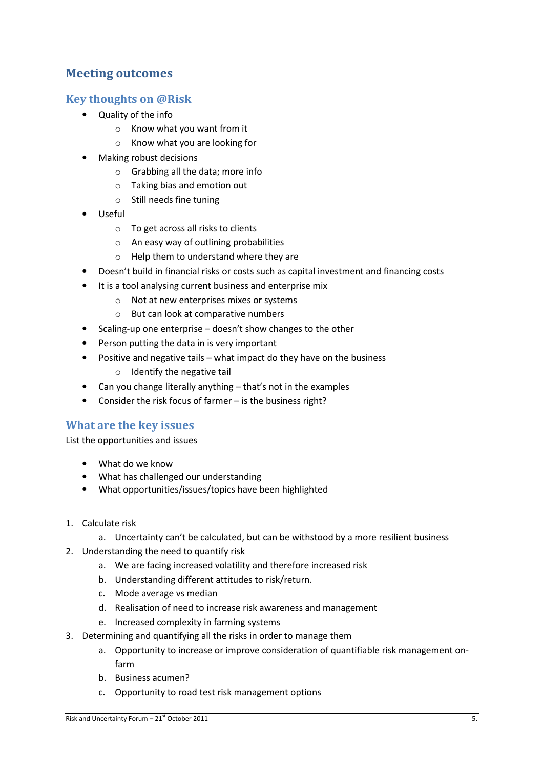## Meeting outcomes

## Key thoughts on @Risk

- Quality of the info
	- o Know what you want from it
	- o Know what you are looking for
- Making robust decisions
	- o Grabbing all the data; more info
	- o Taking bias and emotion out
	- o Still needs fine tuning
- Useful
	- o To get across all risks to clients
	- o An easy way of outlining probabilities
	- o Help them to understand where they are
- Doesn't build in financial risks or costs such as capital investment and financing costs
- It is a tool analysing current business and enterprise mix
	- o Not at new enterprises mixes or systems
	- o But can look at comparative numbers
- Scaling-up one enterprise doesn't show changes to the other
- Person putting the data in is very important
- Positive and negative tails what impact do they have on the business
	- o Identify the negative tail
- Can you change literally anything that's not in the examples
- Consider the risk focus of farmer is the business right?

## What are the key issues

List the opportunities and issues

- What do we know
- What has challenged our understanding
- What opportunities/issues/topics have been highlighted
- 1. Calculate risk
	- a. Uncertainty can't be calculated, but can be withstood by a more resilient business
- 2. Understanding the need to quantify risk
	- a. We are facing increased volatility and therefore increased risk
	- b. Understanding different attitudes to risk/return.
	- c. Mode average vs median
	- d. Realisation of need to increase risk awareness and management
	- e. Increased complexity in farming systems
- 3. Determining and quantifying all the risks in order to manage them
	- a. Opportunity to increase or improve consideration of quantifiable risk management onfarm
	- b. Business acumen?
	- c. Opportunity to road test risk management options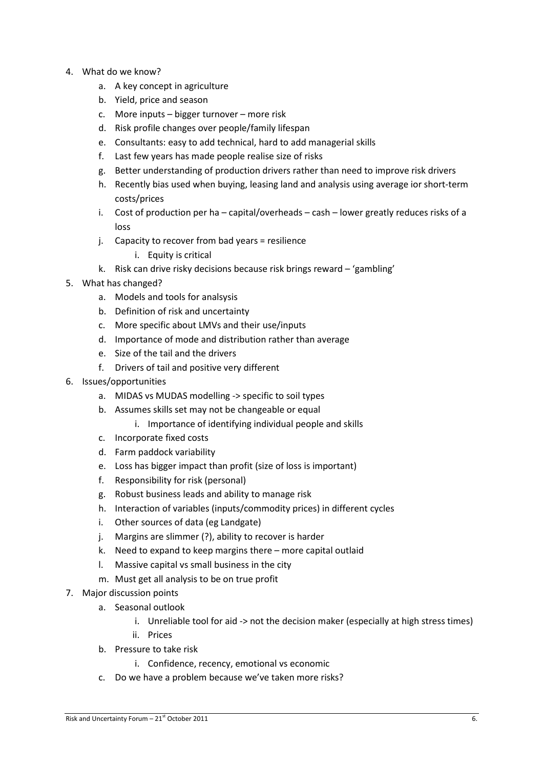- 4. What do we know?
	- a. A key concept in agriculture
	- b. Yield, price and season
	- c. More inputs bigger turnover more risk
	- d. Risk profile changes over people/family lifespan
	- e. Consultants: easy to add technical, hard to add managerial skills
	- f. Last few years has made people realise size of risks
	- g. Better understanding of production drivers rather than need to improve risk drivers
	- h. Recently bias used when buying, leasing land and analysis using average ior short-term costs/prices
	- i. Cost of production per ha capital/overheads cash lower greatly reduces risks of a loss
	- j. Capacity to recover from bad years = resilience
		- i. Equity is critical
	- k. Risk can drive risky decisions because risk brings reward 'gambling'
- 5. What has changed?
	- a. Models and tools for analsysis
	- b. Definition of risk and uncertainty
	- c. More specific about LMVs and their use/inputs
	- d. Importance of mode and distribution rather than average
	- e. Size of the tail and the drivers
	- f. Drivers of tail and positive very different
- 6. Issues/opportunities
	- a. MIDAS vs MUDAS modelling -> specific to soil types
	- b. Assumes skills set may not be changeable or equal
		- i. Importance of identifying individual people and skills
	- c. Incorporate fixed costs
	- d. Farm paddock variability
	- e. Loss has bigger impact than profit (size of loss is important)
	- f. Responsibility for risk (personal)
	- g. Robust business leads and ability to manage risk
	- h. Interaction of variables (inputs/commodity prices) in different cycles
	- i. Other sources of data (eg Landgate)
	- j. Margins are slimmer (?), ability to recover is harder
	- k. Need to expand to keep margins there more capital outlaid
	- l. Massive capital vs small business in the city
	- m. Must get all analysis to be on true profit
- 7. Major discussion points
	- a. Seasonal outlook
		- i. Unreliable tool for aid -> not the decision maker (especially at high stress times)
		- ii. Prices
	- b. Pressure to take risk
		- i. Confidence, recency, emotional vs economic
	- c. Do we have a problem because we've taken more risks?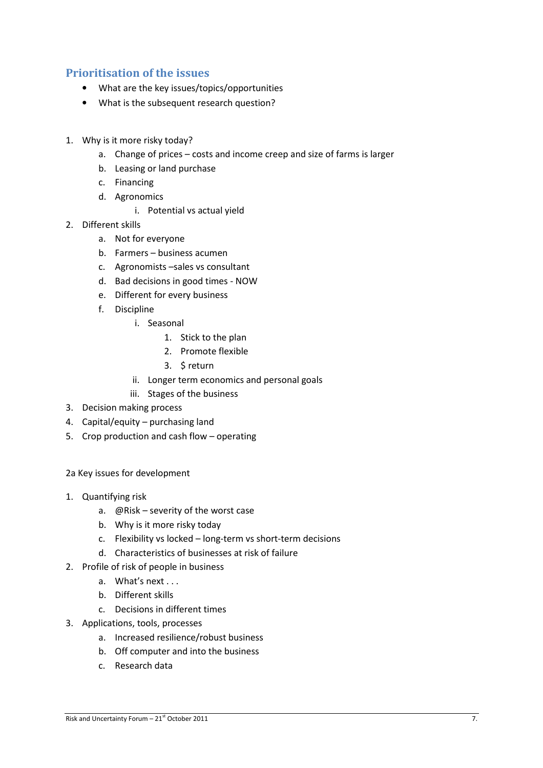## Prioritisation of the issues

- What are the key issues/topics/opportunities
- What is the subsequent research question?
- 1. Why is it more risky today?
	- a. Change of prices costs and income creep and size of farms is larger
	- b. Leasing or land purchase
	- c. Financing
	- d. Agronomics
		- i. Potential vs actual yield
- 2. Different skills
	- a. Not for everyone
	- b. Farmers business acumen
	- c. Agronomists –sales vs consultant
	- d. Bad decisions in good times NOW
	- e. Different for every business
	- f. Discipline
		- i. Seasonal
			- 1. Stick to the plan
			- 2. Promote flexible
			- 3. \$ return
		- ii. Longer term economics and personal goals
		- iii. Stages of the business
- 3. Decision making process
- 4. Capital/equity purchasing land
- 5. Crop production and cash flow operating
- 2a Key issues for development
- 1. Quantifying risk
	- a. @Risk severity of the worst case
	- b. Why is it more risky today
	- c. Flexibility vs locked long-term vs short-term decisions
	- d. Characteristics of businesses at risk of failure
- 2. Profile of risk of people in business
	- a. What's next . . .
	- b. Different skills
	- c. Decisions in different times
- 3. Applications, tools, processes
	- a. Increased resilience/robust business
	- b. Off computer and into the business
	- c. Research data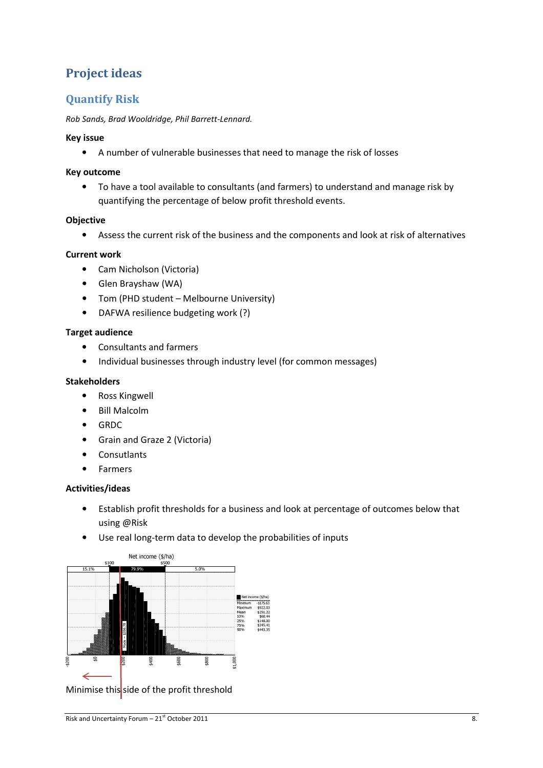# Project ideas

## Quantify Risk

## Rob Sands, Brad Wooldridge, Phil Barrett-Lennard.

## Key issue

• A number of vulnerable businesses that need to manage the risk of losses

## Key outcome

• To have a tool available to consultants (and farmers) to understand and manage risk by quantifying the percentage of below profit threshold events.

## **Objective**

• Assess the current risk of the business and the components and look at risk of alternatives

## Current work

- Cam Nicholson (Victoria)
- Glen Brayshaw (WA)
- Tom (PHD student Melbourne University)
- DAFWA resilience budgeting work (?)

## Target audience

- Consultants and farmers
- Individual businesses through industry level (for common messages)

## Stakeholders

- Ross Kingwell
- Bill Malcolm
- GRDC
- Grain and Graze 2 (Victoria)
- Consutlants
- Farmers

## Activities/ideas

- Establish profit thresholds for a business and look at percentage of outcomes below that using @Risk
- Use real long-term data to develop the probabilities of inputs



Minimise this side of the profit threshold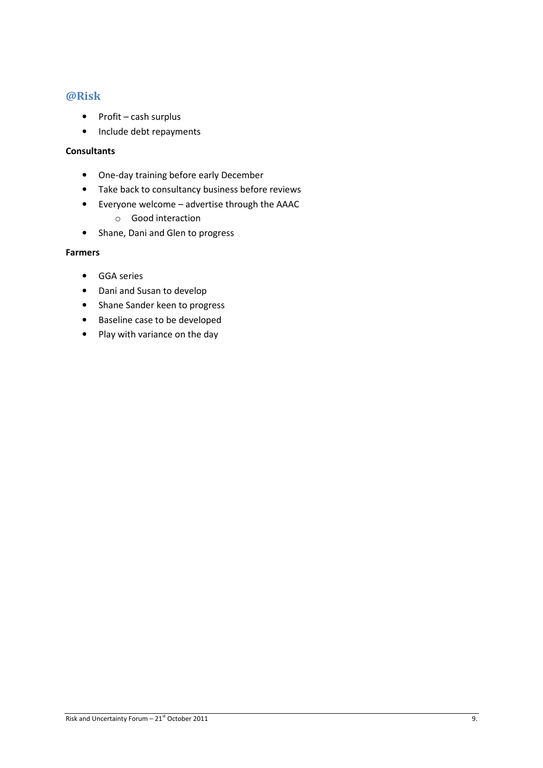## @Risk

- Profit cash surplus
- Include debt repayments

## **Consultants**

- One-day training before early December
- Take back to consultancy business before reviews
- Everyone welcome advertise through the AAAC
	- o Good interaction
- Shane, Dani and Glen to progress

## Farmers

- GGA series
- Dani and Susan to develop
- Shane Sander keen to progress
- Baseline case to be developed
- Play with variance on the day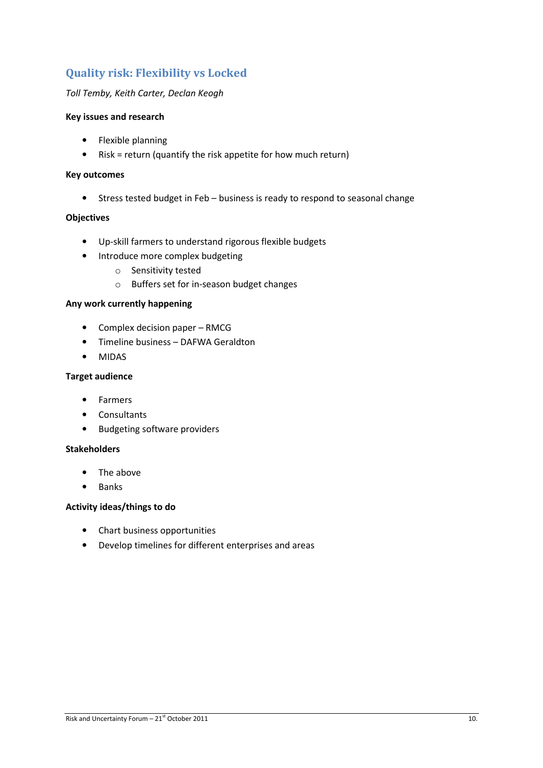## Quality risk: Flexibility vs Locked

## Toll Temby, Keith Carter, Declan Keogh

## Key issues and research

- Flexible planning
- Risk = return (quantify the risk appetite for how much return)

## Key outcomes

• Stress tested budget in Feb – business is ready to respond to seasonal change

### **Objectives**

- Up-skill farmers to understand rigorous flexible budgets
- Introduce more complex budgeting
	- o Sensitivity tested
	- o Buffers set for in-season budget changes

#### Any work currently happening

- Complex decision paper RMCG
- Timeline business DAFWA Geraldton
- MIDAS

## Target audience

- Farmers
- Consultants
- Budgeting software providers

#### Stakeholders

- The above
- Banks

#### Activity ideas/things to do

- Chart business opportunities
- Develop timelines for different enterprises and areas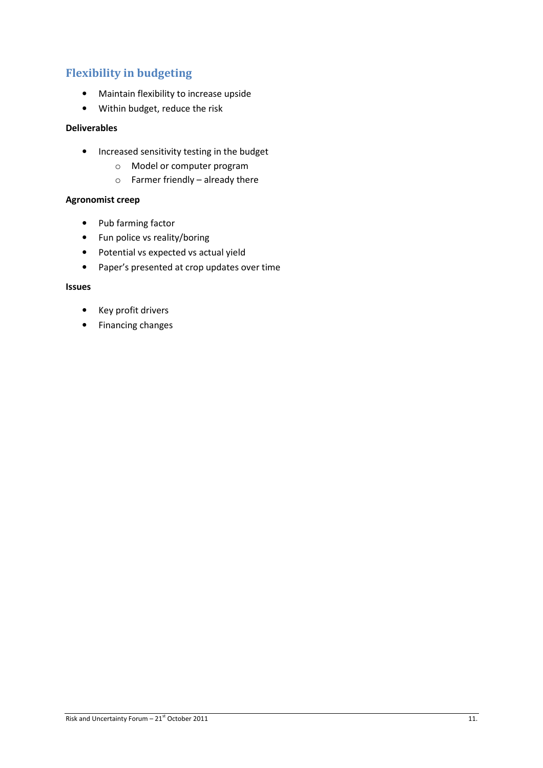## Flexibility in budgeting

- Maintain flexibility to increase upside
- Within budget, reduce the risk

## Deliverables

- Increased sensitivity testing in the budget
	- o Model or computer program
	- $\circ$  Farmer friendly already there

## Agronomist creep

- Pub farming factor
- Fun police vs reality/boring
- Potential vs expected vs actual yield
- Paper's presented at crop updates over time

## Issues

- Key profit drivers
- Financing changes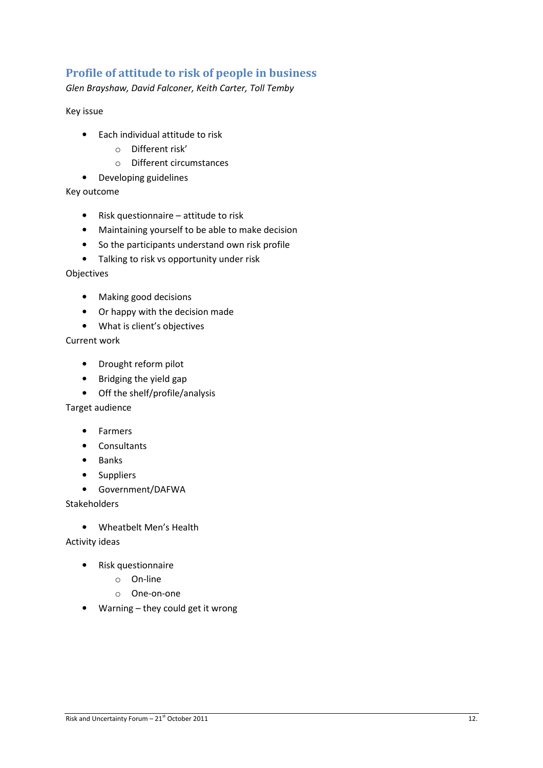## Profile of attitude to risk of people in business

Glen Brayshaw, David Falconer, Keith Carter, Toll Temby

Key issue

- Each individual attitude to risk
	- o Different risk'
	- o Different circumstances
- Developing guidelines

Key outcome

- Risk questionnaire attitude to risk
- Maintaining yourself to be able to make decision
- So the participants understand own risk profile
- Talking to risk vs opportunity under risk

Objectives

- Making good decisions
- Or happy with the decision made
- What is client's objectives

Current work

- Drought reform pilot
- Bridging the yield gap
- Off the shelf/profile/analysis

Target audience

- Farmers
- Consultants
- Banks
- Suppliers
- Government/DAFWA

Stakeholders

• Wheatbelt Men's Health

Activity ideas

- Risk questionnaire
	- o On-line
	- o One-on-one
- Warning they could get it wrong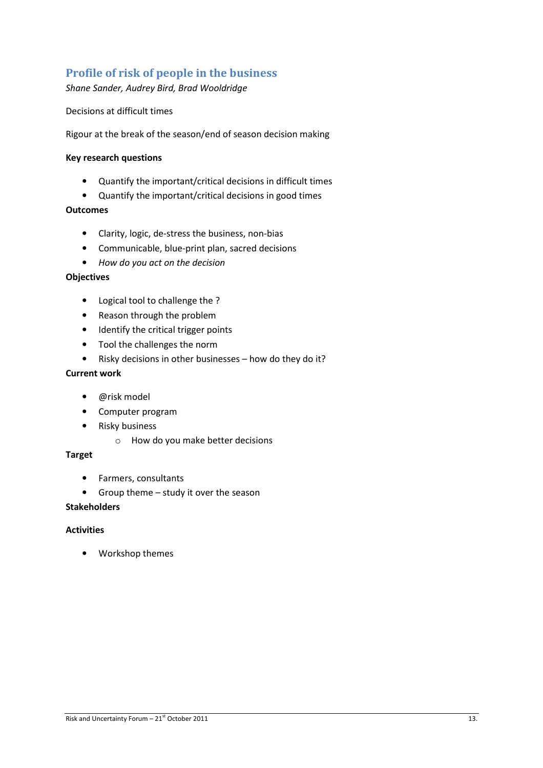## Profile of risk of people in the business

Shane Sander, Audrey Bird, Brad Wooldridge

Decisions at difficult times

Rigour at the break of the season/end of season decision making

## Key research questions

- Quantify the important/critical decisions in difficult times
- Quantify the important/critical decisions in good times

### **Outcomes**

- Clarity, logic, de-stress the business, non-bias
- Communicable, blue-print plan, sacred decisions
- How do you act on the decision

### **Objectives**

- Logical tool to challenge the ?
- Reason through the problem
- Identify the critical trigger points
- Tool the challenges the norm
- Risky decisions in other businesses how do they do it?

## Current work

- @risk model
- Computer program
- Risky business
	- o How do you make better decisions

## Target

- Farmers, consultants
- Group theme study it over the season

### Stakeholders

### Activities

• Workshop themes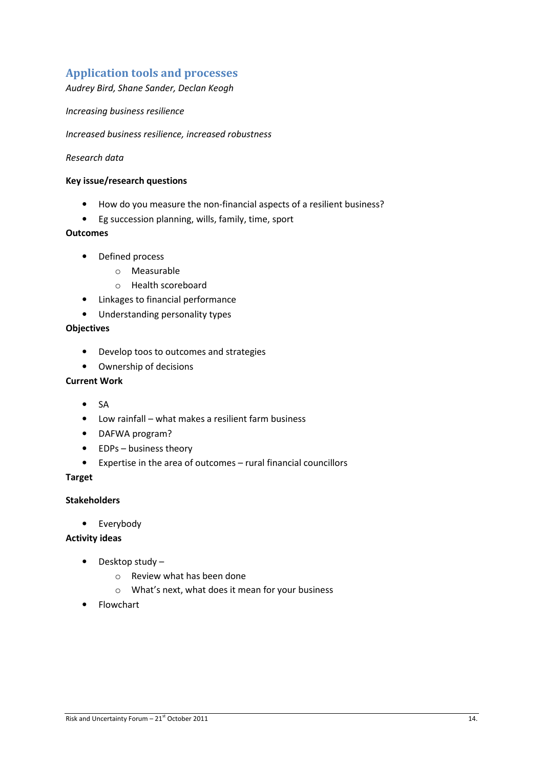## Application tools and processes

Audrey Bird, Shane Sander, Declan Keogh

Increasing business resilience

Increased business resilience, increased robustness

## Research data

## Key issue/research questions

- How do you measure the non-financial aspects of a resilient business?
- Eg succession planning, wills, family, time, sport

### **Outcomes**

- Defined process
	- o Measurable
	- o Health scoreboard
- Linkages to financial performance
- Understanding personality types

## **Objectives**

- Develop toos to outcomes and strategies
- Ownership of decisions

### Current Work

- SA
- Low rainfall what makes a resilient farm business
- DAFWA program?
- EDPs business theory
- Expertise in the area of outcomes rural financial councillors

### Target

## Stakeholders

• Everybody

## Activity ideas

- Desktop study
	- o Review what has been done
	- o What's next, what does it mean for your business
- Flowchart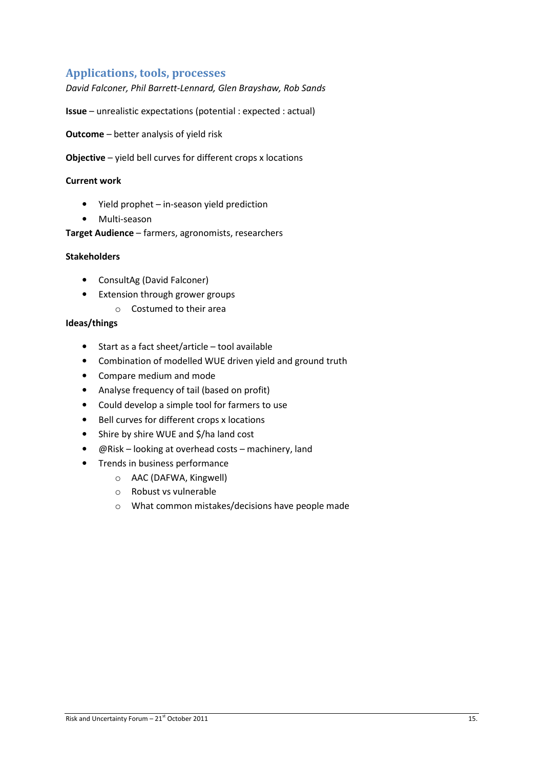## Applications, tools, processes

David Falconer, Phil Barrett-Lennard, Glen Brayshaw, Rob Sands

Issue – unrealistic expectations (potential : expected : actual)

Outcome – better analysis of yield risk

Objective – yield bell curves for different crops x locations

### Current work

- Yield prophet in-season yield prediction
- Multi-season

Target Audience – farmers, agronomists, researchers

### Stakeholders

- ConsultAg (David Falconer)
- Extension through grower groups
	- o Costumed to their area

### Ideas/things

- Start as a fact sheet/article tool available
- Combination of modelled WUE driven yield and ground truth
- Compare medium and mode
- Analyse frequency of tail (based on profit)
- Could develop a simple tool for farmers to use
- Bell curves for different crops x locations
- Shire by shire WUE and \$/ha land cost
- @Risk looking at overhead costs machinery, land
- Trends in business performance
	- o AAC (DAFWA, Kingwell)
	- o Robust vs vulnerable
	- o What common mistakes/decisions have people made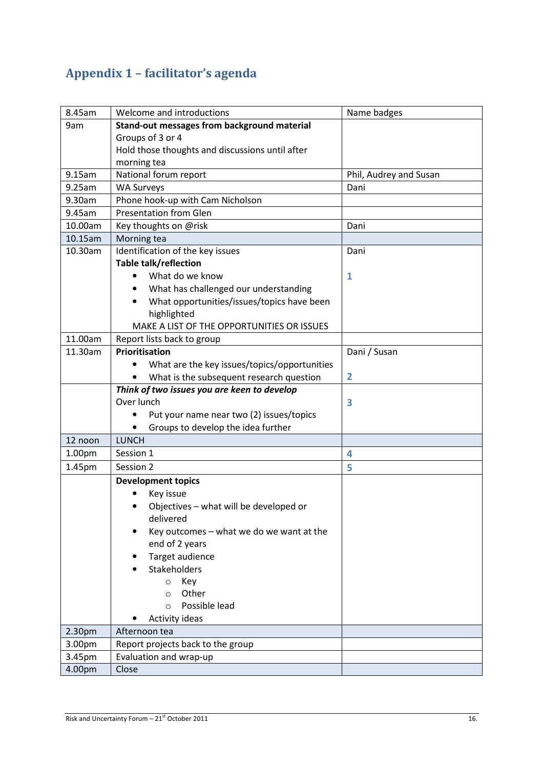# Appendix 1 – facilitator's agenda

| 8.45am  | Welcome and introductions                               | Name badges            |
|---------|---------------------------------------------------------|------------------------|
| 9am     | Stand-out messages from background material             |                        |
|         | Groups of 3 or 4                                        |                        |
|         | Hold those thoughts and discussions until after         |                        |
|         | morning tea                                             |                        |
| 9.15am  | National forum report                                   | Phil, Audrey and Susan |
| 9.25am  | <b>WA Surveys</b>                                       | Dani                   |
| 9.30am  | Phone hook-up with Cam Nicholson                        |                        |
| 9.45am  | <b>Presentation from Glen</b>                           |                        |
| 10.00am | Key thoughts on @risk                                   | Dani                   |
| 10.15am | Morning tea                                             |                        |
| 10.30am | Identification of the key issues                        | Dani                   |
|         | Table talk/reflection                                   |                        |
|         | What do we know                                         | 1                      |
|         | What has challenged our understanding<br>٠              |                        |
|         | What opportunities/issues/topics have been<br>$\bullet$ |                        |
|         | highlighted                                             |                        |
|         | MAKE A LIST OF THE OPPORTUNITIES OR ISSUES              |                        |
| 11.00am | Report lists back to group                              |                        |
| 11.30am | Prioritisation                                          | Dani / Susan           |
|         | What are the key issues/topics/opportunities            |                        |
|         | What is the subsequent research question<br>$\bullet$   | $\overline{2}$         |
|         | Think of two issues you are keen to develop             |                        |
|         | Over lunch                                              | 3                      |
|         | Put your name near two (2) issues/topics                |                        |
|         | Groups to develop the idea further<br>٠                 |                        |
| 12 noon | <b>LUNCH</b>                                            |                        |
| 1.00pm  | Session 1                                               | 4                      |
| 1.45pm  | Session 2                                               | 5                      |
|         | <b>Development topics</b>                               |                        |
|         | Key issue                                               |                        |
|         | Objectives - what will be developed or                  |                        |
|         | delivered                                               |                        |
|         | Key outcomes - what we do we want at the                |                        |
|         | end of 2 years                                          |                        |
|         | Target audience                                         |                        |
|         | Stakeholders                                            |                        |
|         | Key<br>$\circ$                                          |                        |
|         | Other<br>$\Omega$                                       |                        |
|         | Possible lead<br>$\Omega$                               |                        |
|         | Activity ideas                                          |                        |
| 2.30pm  | Afternoon tea                                           |                        |
| 3.00pm  | Report projects back to the group                       |                        |
| 3.45pm  | Evaluation and wrap-up                                  |                        |
| 4.00pm  | Close                                                   |                        |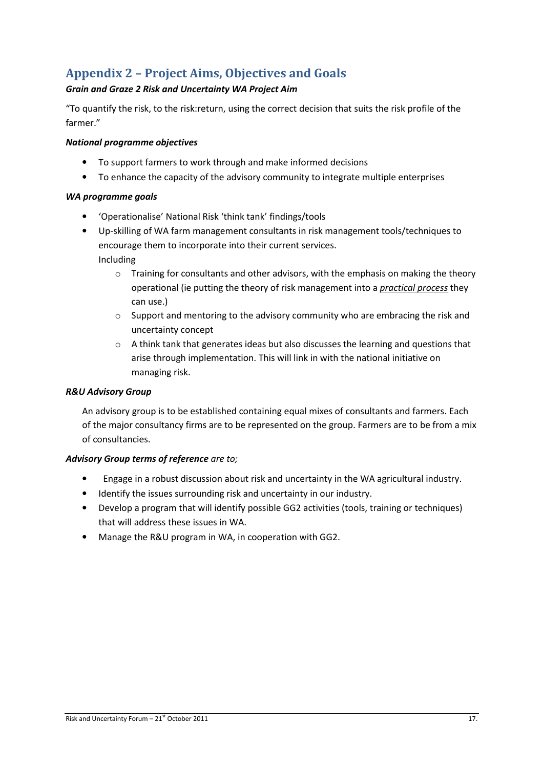# Appendix 2 – Project Aims, Objectives and Goals

## Grain and Graze 2 Risk and Uncertainty WA Project Aim

"To quantify the risk, to the risk:return, using the correct decision that suits the risk profile of the farmer."

## National programme objectives

- To support farmers to work through and make informed decisions
- To enhance the capacity of the advisory community to integrate multiple enterprises

## WA programme goals

- 'Operationalise' National Risk 'think tank' findings/tools
- Up-skilling of WA farm management consultants in risk management tools/techniques to encourage them to incorporate into their current services.

Including

- o Training for consultants and other advisors, with the emphasis on making the theory operational (ie putting the theory of risk management into a practical process they can use.)
- $\circ$  Support and mentoring to the advisory community who are embracing the risk and uncertainty concept
- o A think tank that generates ideas but also discusses the learning and questions that arise through implementation. This will link in with the national initiative on managing risk.

## R&U Advisory Group

An advisory group is to be established containing equal mixes of consultants and farmers. Each of the major consultancy firms are to be represented on the group. Farmers are to be from a mix of consultancies.

## Advisory Group terms of reference are to;

- Engage in a robust discussion about risk and uncertainty in the WA agricultural industry.
- Identify the issues surrounding risk and uncertainty in our industry.
- Develop a program that will identify possible GG2 activities (tools, training or techniques) that will address these issues in WA.
- Manage the R&U program in WA, in cooperation with GG2.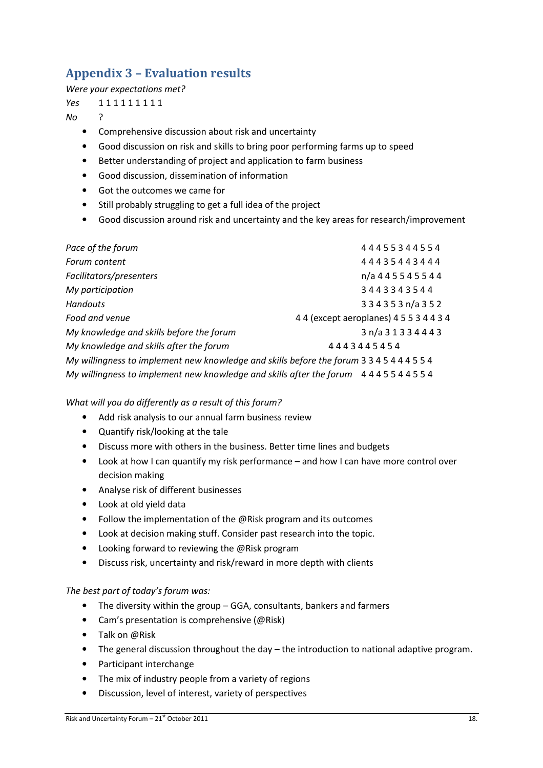# Appendix 3 – Evaluation results

Were your expectations met?

Yes 111111111

No ?

- Comprehensive discussion about risk and uncertainty
- Good discussion on risk and skills to bring poor performing farms up to speed
- Better understanding of project and application to farm business
- Good discussion, dissemination of information
- Got the outcomes we came for
- Still probably struggling to get a full idea of the project
- Good discussion around risk and uncertainty and the key areas for research/improvement

| Pace of the forum                                                                         | 44455344554                     |
|-------------------------------------------------------------------------------------------|---------------------------------|
| Forum content                                                                             | 44435443444                     |
| Facilitators/presenters                                                                   | n/a 4 4 5 5 4 5 5 4 4           |
| My participation                                                                          | 3443343544                      |
| <b>Handouts</b>                                                                           | 334353n/a352                    |
| Food and venue                                                                            | 44 (except aeroplanes) 45534434 |
| My knowledge and skills before the forum                                                  | 3 n/a 3 1 3 3 4 4 4 3           |
| My knowledge and skills after the forum                                                   | 4443445454                      |
| My willingness to implement new knowledge and skills before the forum 3 3 4 5 4 4 4 5 5 4 |                                 |
| My willingness to implement new knowledge and skills after the forum $4445544554$         |                                 |

What will you do differently as a result of this forum?

- Add risk analysis to our annual farm business review
- Quantify risk/looking at the tale
- Discuss more with others in the business. Better time lines and budgets
- Look at how I can quantify my risk performance and how I can have more control over decision making
- Analyse risk of different businesses
- Look at old yield data
- Follow the implementation of the @Risk program and its outcomes
- Look at decision making stuff. Consider past research into the topic.
- Looking forward to reviewing the @Risk program
- Discuss risk, uncertainty and risk/reward in more depth with clients

## The best part of today's forum was:

- The diversity within the group GGA, consultants, bankers and farmers
- Cam's presentation is comprehensive (@Risk)
- Talk on @Risk
- The general discussion throughout the day the introduction to national adaptive program.
- Participant interchange
- The mix of industry people from a variety of regions
- Discussion, level of interest, variety of perspectives